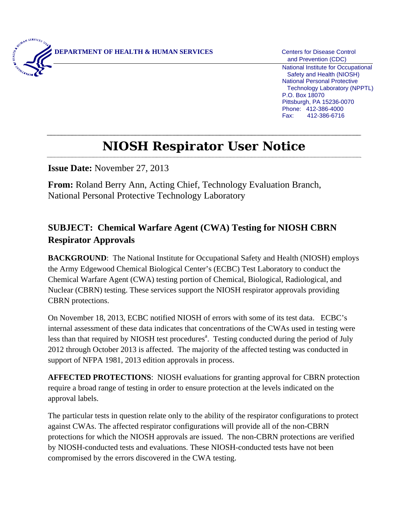

 and Prevention (CDC) National Institute for Occupational Safety and Health (NIOSH) National Personal Protective Technology Laboratory (NPPTL) P.O. Box 18070 Pittsburgh, PA 15236-0070 Phone: 412-386-4000 Fax: 412-386-6716

## **NIOSH Respirator User Notice**

**Issue Date:** November 27, 2013

**From:** Roland Berry Ann, Acting Chief, Technology Evaluation Branch, National Personal Protective Technology Laboratory

## **SUBJECT: Chemical Warfare Agent (CWA) Testing for NIOSH CBRN Respirator Approvals**

**BACKGROUND:** The National Institute for Occupational Safety and Health (NIOSH) employs the Army Edgewood Chemical Biological Center's (ECBC) Test Laboratory to conduct the Chemical Warfare Agent (CWA) testing portion of Chemical, Biological, Radiological, and Nuclear (CBRN) testing. These services support the NIOSH respirator approvals providing CBRN protections.

On November 18, 2013, ECBC notified NIOSH of errors with some of its test data. ECBC's internal assessment of these data indicates that concentrations of the CWAs used in testing were less than that required by NIOSH test procedures<sup>a</sup>. Testing conducted during the period of July 2012 through October 2013 is affected. The majority of the affected testing was conducted in support of NFPA 1981, 2013 edition approvals in process.

**AFFECTED PROTECTIONS**: NIOSH evaluations for granting approval for CBRN protection require a broad range of testing in order to ensure protection at the levels indicated on the approval labels.

The particular tests in question relate only to the ability of the respirator configurations to protect against CWAs. The affected respirator configurations will provide all of the non-CBRN protections for which the NIOSH approvals are issued. The non-CBRN protections are verified by NIOSH-conducted tests and evaluations. These NIOSH-conducted tests have not been compromised by the errors discovered in the CWA testing.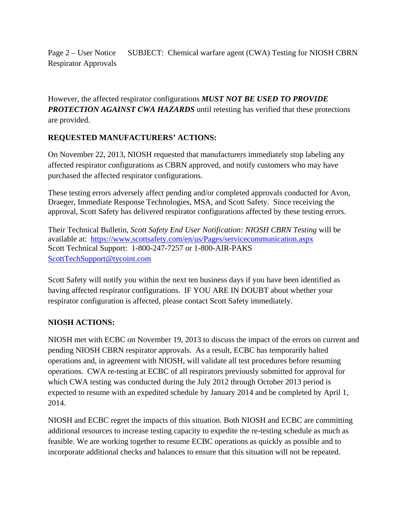Page 2 – User Notice SUBJECT: Chemical warfare agent (CWA) Testing for NIOSH CBRN Respirator Approvals

However, the affected respirator configurations *MUST NOT BE USED TO PROVIDE PROTECTION AGAINST CWA HAZARDS* until retesting has verified that these protections are provided.

## **REQUESTED MANUFACTURERS' ACTIONS:**

On November 22, 2013, NIOSH requested that manufacturers immediately stop labeling any affected respirator configurations as CBRN approved, and notify customers who may have purchased the affected respirator configurations.

These testing errors adversely affect pending and/or completed approvals conducted for Avon, Draeger, Immediate Response Technologies, MSA, and Scott Safety. Since receiving the approval, Scott Safety has delivered respirator configurations affected by these testing errors.

available at: https://www.scottsafety.com/en/us/Pages/servicecommunication.aspx<br>Scott Technical Support: 1-800-247-7257 or 1-800-AIR-PAKS Their Technical Bulletin, *Scott Safety End User Notification: NIOSH CBRN Testing* will be ScottTechSupport@tycoint.com

Scott Safety will notify you within the next ten business days if you have been identified as having affected respirator configurations. IF YOU ARE IN DOUBT about whether your respirator configuration is affected, please contact Scott Safety immediately.

## **NIOSH ACTIONS:**

NIOSH met with ECBC on November 19, 2013 to discuss the impact of the errors on current and pending NIOSH CBRN respirator approvals. As a result, ECBC has temporarily halted operations and, in agreement with NIOSH, will validate all test procedures before resuming operations. CWA re-testing at ECBC of all respirators previously submitted for approval for which CWA testing was conducted during the July 2012 through October 2013 period is expected to resume with an expedited schedule by January 2014 and be completed by April 1, 2014.

NIOSH and ECBC regret the impacts of this situation. Both NIOSH and ECBC are committing additional resources to increase testing capacity to expedite the re-testing schedule as much as feasible. We are working together to resume ECBC operations as quickly as possible and to incorporate additional checks and balances to ensure that this situation will not be repeated.